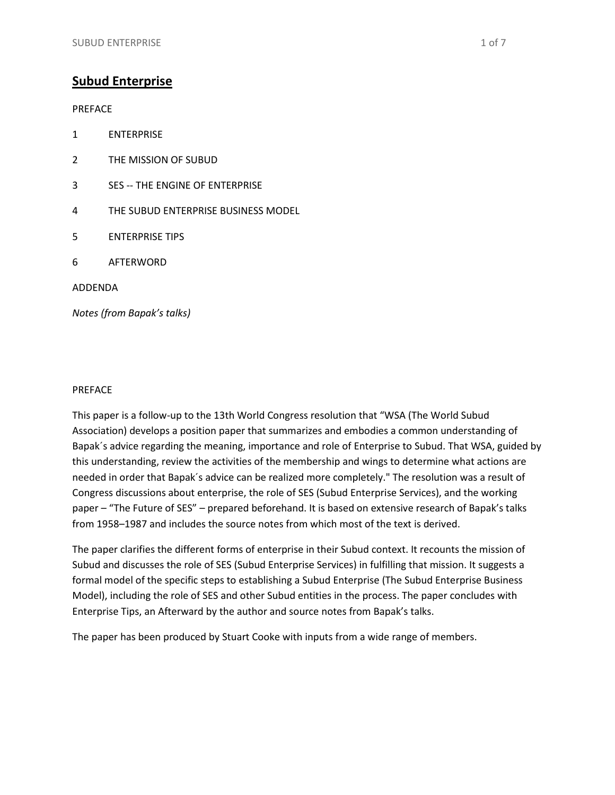PREFACE

- 1 ENTERPRISE
- 2 THE MISSION OF SUBUD
- 3 SES -- THE ENGINE OF ENTERPRISE
- 4 THE SUBUD ENTERPRISE BUSINESS MODEL
- 5 ENTERPRISE TIPS
- 6 AFTERWORD

ADDENDA

*Notes (from Bapak's talks)*

#### PREFACE

This paper is a follow-up to the 13th World Congress resolution that "WSA (The World Subud Association) develops a position paper that summarizes and embodies a common understanding of Bapak´s advice regarding the meaning, importance and role of Enterprise to Subud. That WSA, guided by this understanding, review the activities of the membership and wings to determine what actions are needed in order that Bapak´s advice can be realized more completely." The resolution was a result of Congress discussions about enterprise, the role of SES (Subud Enterprise Services), and the working paper – "The Future of SES" – prepared beforehand. It is based on extensive research of Bapak's talks from 1958–1987 and includes the source notes from which most of the text is derived.

The paper clarifies the different forms of enterprise in their Subud context. It recounts the mission of Subud and discusses the role of SES (Subud Enterprise Services) in fulfilling that mission. It suggests a formal model of the specific steps to establishing a Subud Enterprise (The Subud Enterprise Business Model), including the role of SES and other Subud entities in the process. The paper concludes with Enterprise Tips, an Afterward by the author and source notes from Bapak's talks.

The paper has been produced by Stuart Cooke with inputs from a wide range of members.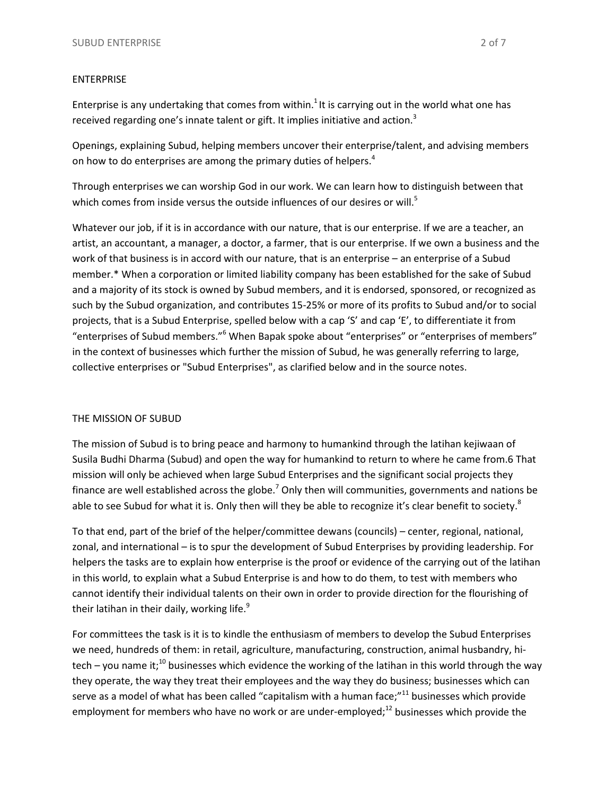### ENTERPRISE

Enterprise is any undertaking that comes from within.<sup>1</sup> It is carrying out in the world what one has received regarding one's innate talent or gift. It implies initiative and action. $3$ 

Openings, explaining Subud, helping members uncover their enterprise/talent, and advising members on how to do enterprises are among the primary duties of helpers.<sup>4</sup>

Through enterprises we can worship God in our work. We can learn how to distinguish between that which comes from inside versus the outside influences of our desires or will.<sup>5</sup>

Whatever our job, if it is in accordance with our nature, that is our enterprise. If we are a teacher, an artist, an accountant, a manager, a doctor, a farmer, that is our enterprise. If we own a business and the work of that business is in accord with our nature, that is an enterprise – an enterprise of a Subud member.\* When a corporation or limited liability company has been established for the sake of Subud and a majority of its stock is owned by Subud members, and it is endorsed, sponsored, or recognized as such by the Subud organization, and contributes 15-25% or more of its profits to Subud and/or to social projects, that is a Subud Enterprise, spelled below with a cap 'S' and cap 'E', to differentiate it from "enterprises of Subud members."<sup>6</sup> When Bapak spoke about "enterprises" or "enterprises of members" in the context of businesses which further the mission of Subud, he was generally referring to large, collective enterprises or "Subud Enterprises", as clarified below and in the source notes.

# THE MISSION OF SUBUD

The mission of Subud is to bring peace and harmony to humankind through the latihan kejiwaan of Susila Budhi Dharma (Subud) and open the way for humankind to return to where he came from.6 That mission will only be achieved when large Subud Enterprises and the significant social projects they finance are well established across the globe.<sup>7</sup> Only then will communities, governments and nations be able to see Subud for what it is. Only then will they be able to recognize it's clear benefit to society.<sup>8</sup>

To that end, part of the brief of the helper/committee dewans (councils) – center, regional, national, zonal, and international – is to spur the development of Subud Enterprises by providing leadership. For helpers the tasks are to explain how enterprise is the proof or evidence of the carrying out of the latihan in this world, to explain what a Subud Enterprise is and how to do them, to test with members who cannot identify their individual talents on their own in order to provide direction for the flourishing of their latihan in their daily, working life.<sup>9</sup>

For committees the task is it is to kindle the enthusiasm of members to develop the Subud Enterprises we need, hundreds of them: in retail, agriculture, manufacturing, construction, animal husbandry, hitech – you name it;<sup>10</sup> businesses which evidence the working of the latihan in this world through the way they operate, the way they treat their employees and the way they do business; businesses which can serve as a model of what has been called "capitalism with a human face;"<sup>11</sup> businesses which provide employment for members who have no work or are under-employed; $^{12}$  businesses which provide the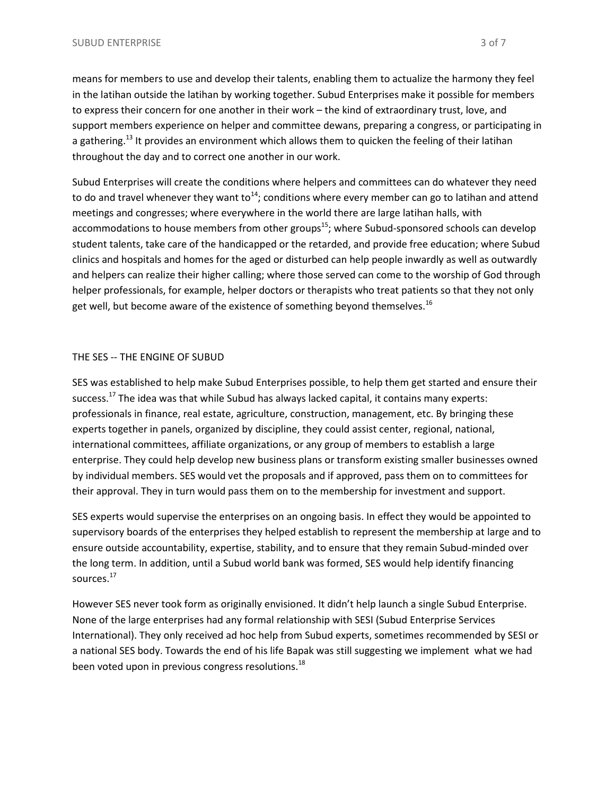means for members to use and develop their talents, enabling them to actualize the harmony they feel in the latihan outside the latihan by working together. Subud Enterprises make it possible for members to express their concern for one another in their work – the kind of extraordinary trust, love, and support members experience on helper and committee dewans, preparing a congress, or participating in a gathering.<sup>13</sup> It provides an environment which allows them to quicken the feeling of their latihan throughout the day and to correct one another in our work.

Subud Enterprises will create the conditions where helpers and committees can do whatever they need to do and travel whenever they want to<sup>14</sup>; conditions where every member can go to latihan and attend meetings and congresses; where everywhere in the world there are large latihan halls, with accommodations to house members from other groups<sup>15</sup>; where Subud-sponsored schools can develop student talents, take care of the handicapped or the retarded, and provide free education; where Subud clinics and hospitals and homes for the aged or disturbed can help people inwardly as well as outwardly and helpers can realize their higher calling; where those served can come to the worship of God through helper professionals, for example, helper doctors or therapists who treat patients so that they not only get well, but become aware of the existence of something beyond themselves.<sup>16</sup>

# THE SES -- THE ENGINE OF SUBUD

SES was established to help make Subud Enterprises possible, to help them get started and ensure their success.<sup>17</sup> The idea was that while Subud has always lacked capital, it contains many experts: professionals in finance, real estate, agriculture, construction, management, etc. By bringing these experts together in panels, organized by discipline, they could assist center, regional, national, international committees, affiliate organizations, or any group of members to establish a large enterprise. They could help develop new business plans or transform existing smaller businesses owned by individual members. SES would vet the proposals and if approved, pass them on to committees for their approval. They in turn would pass them on to the membership for investment and support.

SES experts would supervise the enterprises on an ongoing basis. In effect they would be appointed to supervisory boards of the enterprises they helped establish to represent the membership at large and to ensure outside accountability, expertise, stability, and to ensure that they remain Subud-minded over the long term. In addition, until a Subud world bank was formed, SES would help identify financing sources.<sup>17</sup>

However SES never took form as originally envisioned. It didn't help launch a single Subud Enterprise. None of the large enterprises had any formal relationship with SESI (Subud Enterprise Services International). They only received ad hoc help from Subud experts, sometimes recommended by SESI or a national SES body. Towards the end of his life Bapak was still suggesting we implement what we had been voted upon in previous congress resolutions.<sup>18</sup>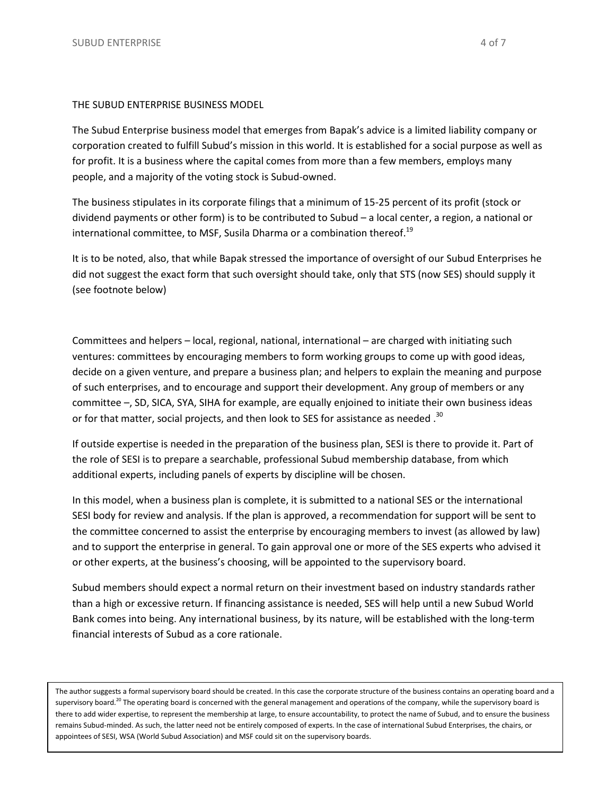### THE SUBUD ENTERPRISE BUSINESS MODEL

The Subud Enterprise business model that emerges from Bapak's advice is a limited liability company or corporation created to fulfill Subud's mission in this world. It is established for a social purpose as well as for profit. It is a business where the capital comes from more than a few members, employs many people, and a majority of the voting stock is Subud-owned.

The business stipulates in its corporate filings that a minimum of 15-25 percent of its profit (stock or dividend payments or other form) is to be contributed to Subud – a local center, a region, a national or international committee, to MSF, Susila Dharma or a combination thereof.<sup>19</sup>

It is to be noted, also, that while Bapak stressed the importance of oversight of our Subud Enterprises he did not suggest the exact form that such oversight should take, only that STS (now SES) should supply it (see footnote below)

Committees and helpers – local, regional, national, international – are charged with initiating such ventures: committees by encouraging members to form working groups to come up with good ideas, decide on a given venture, and prepare a business plan; and helpers to explain the meaning and purpose of such enterprises, and to encourage and support their development. Any group of members or any committee –, SD, SICA, SYA, SIHA for example, are equally enjoined to initiate their own business ideas or for that matter, social projects, and then look to SES for assistance as needed  $30$ 

If outside expertise is needed in the preparation of the business plan, SESI is there to provide it. Part of the role of SESI is to prepare a searchable, professional Subud membership database, from which additional experts, including panels of experts by discipline will be chosen.

In this model, when a business plan is complete, it is submitted to a national SES or the international SESI body for review and analysis. If the plan is approved, a recommendation for support will be sent to the committee concerned to assist the enterprise by encouraging members to invest (as allowed by law) and to support the enterprise in general. To gain approval one or more of the SES experts who advised it or other experts, at the business's choosing, will be appointed to the supervisory board.

Subud members should expect a normal return on their investment based on industry standards rather than a high or excessive return. If financing assistance is needed, SES will help until a new Subud World Bank comes into being. Any international business, by its nature, will be established with the long-term financial interests of Subud as a core rationale.

The author suggests a formal supervisory board should be created. In this case the corporate structure of the business contains an operating board and a supervisory board.<sup>20</sup> The operating board is concerned with the general management and operations of the company, while the supervisory board is there to add wider expertise, to represent the membership at large, to ensure accountability, to protect the name of Subud, and to ensure the business remains Subud-minded. As such, the latter need not be entirely composed of experts. In the case of international Subud Enterprises, the chairs, or appointees of SESI, WSA (World Subud Association) and MSF could sit on the supervisory boards.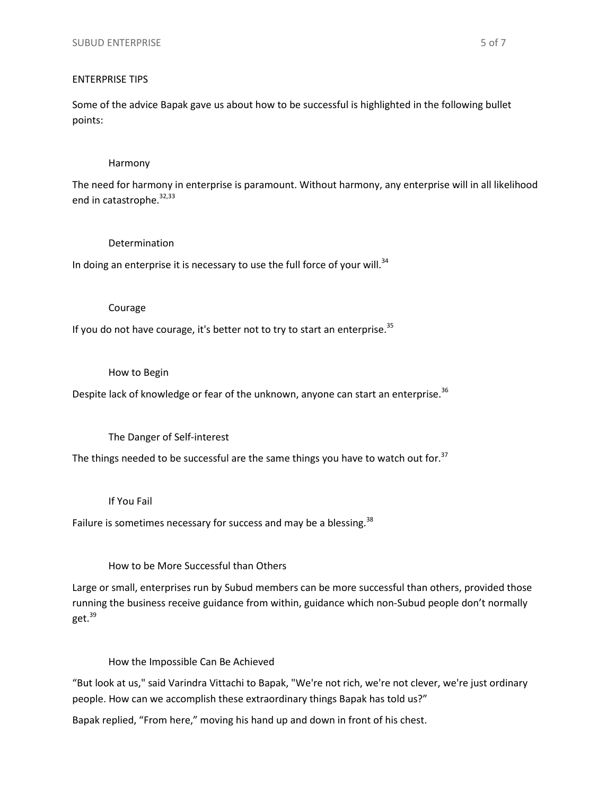### ENTERPRISE TIPS

Some of the advice Bapak gave us about how to be successful is highlighted in the following bullet points:

#### Harmony

The need for harmony in enterprise is paramount. Without harmony, any enterprise will in all likelihood end in catastrophe.<sup>32,33</sup>

### Determination

In doing an enterprise it is necessary to use the full force of your will. $34$ 

#### Courage

If you do not have courage, it's better not to try to start an enterprise.<sup>35</sup>

### How to Begin

Despite lack of knowledge or fear of the unknown, anyone can start an enterprise.<sup>36</sup>

# The Danger of Self-interest

The things needed to be successful are the same things you have to watch out for.<sup>37</sup>

# If You Fail

Failure is sometimes necessary for success and may be a blessing.<sup>38</sup>

# How to be More Successful than Others

Large or small, enterprises run by Subud members can be more successful than others, provided those running the business receive guidance from within, guidance which non-Subud people don't normally get.<sup>39</sup>

# How the Impossible Can Be Achieved

"But look at us," said Varindra Vittachi to Bapak, "We're not rich, we're not clever, we're just ordinary people. How can we accomplish these extraordinary things Bapak has told us?"

Bapak replied, "From here," moving his hand up and down in front of his chest.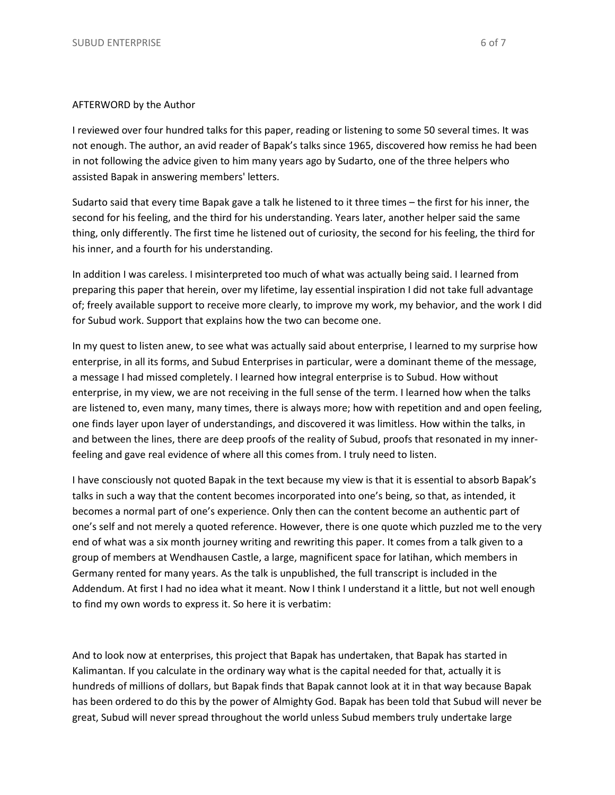I reviewed over four hundred talks for this paper, reading or listening to some 50 several times. It was not enough. The author, an avid reader of Bapak's talks since 1965, discovered how remiss he had been in not following the advice given to him many years ago by Sudarto, one of the three helpers who assisted Bapak in answering members' letters.

Sudarto said that every time Bapak gave a talk he listened to it three times – the first for his inner, the second for his feeling, and the third for his understanding. Years later, another helper said the same thing, only differently. The first time he listened out of curiosity, the second for his feeling, the third for his inner, and a fourth for his understanding.

In addition I was careless. I misinterpreted too much of what was actually being said. I learned from preparing this paper that herein, over my lifetime, lay essential inspiration I did not take full advantage of; freely available support to receive more clearly, to improve my work, my behavior, and the work I did for Subud work. Support that explains how the two can become one.

In my quest to listen anew, to see what was actually said about enterprise, I learned to my surprise how enterprise, in all its forms, and Subud Enterprises in particular, were a dominant theme of the message, a message I had missed completely. I learned how integral enterprise is to Subud. How without enterprise, in my view, we are not receiving in the full sense of the term. I learned how when the talks are listened to, even many, many times, there is always more; how with repetition and and open feeling, one finds layer upon layer of understandings, and discovered it was limitless. How within the talks, in and between the lines, there are deep proofs of the reality of Subud, proofs that resonated in my innerfeeling and gave real evidence of where all this comes from. I truly need to listen.

I have consciously not quoted Bapak in the text because my view is that it is essential to absorb Bapak's talks in such a way that the content becomes incorporated into one's being, so that, as intended, it becomes a normal part of one's experience. Only then can the content become an authentic part of one's self and not merely a quoted reference. However, there is one quote which puzzled me to the very end of what was a six month journey writing and rewriting this paper. It comes from a talk given to a group of members at Wendhausen Castle, a large, magnificent space for latihan, which members in Germany rented for many years. As the talk is unpublished, the full transcript is included in the Addendum. At first I had no idea what it meant. Now I think I understand it a little, but not well enough to find my own words to express it. So here it is verbatim:

And to look now at enterprises, this project that Bapak has undertaken, that Bapak has started in Kalimantan. If you calculate in the ordinary way what is the capital needed for that, actually it is hundreds of millions of dollars, but Bapak finds that Bapak cannot look at it in that way because Bapak has been ordered to do this by the power of Almighty God. Bapak has been told that Subud will never be great, Subud will never spread throughout the world unless Subud members truly undertake large